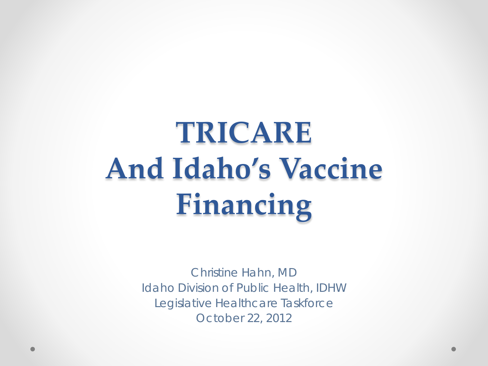### **TRICARE And Idaho's Vaccine Financing**

Christine Hahn, MD Idaho Division of Public Health, IDHW Legislative Healthcare Taskforce October 22, 2012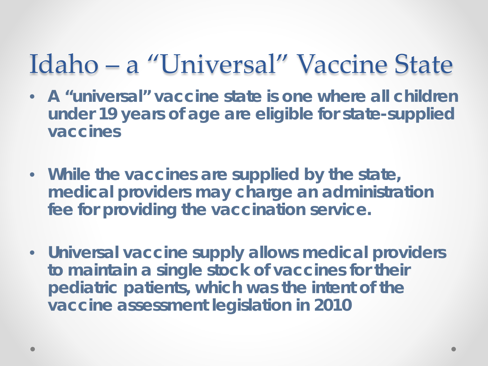#### Idaho – a "Universal" Vaccine State

- **A "universal" vaccine state is one where all children under 19 years of age are eligible for state-supplied vaccines**
- **While the vaccines are supplied by the state, medical providers may charge an administration fee for providing the vaccination service.**
- **Universal vaccine supply allows medical providers to maintain a single stock of vaccines for their pediatric patients, which was the intent of the vaccine assessment legislation in 2010**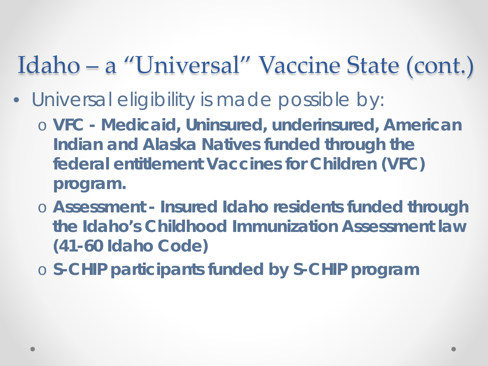#### Idaho – a "Universal" Vaccine State (cont.)

- Universal eligibility is made possible by:
	- o **VFC - Medicaid, Uninsured, underinsured, American Indian and Alaska Natives funded through the federal entitlement Vaccines for Children (VFC) program.**
	- o **Assessment - Insured Idaho residents funded through the Idaho's Childhood Immunization Assessment law (41-60 Idaho Code)**
	- o **S-CHIP participants funded by S-CHIP program**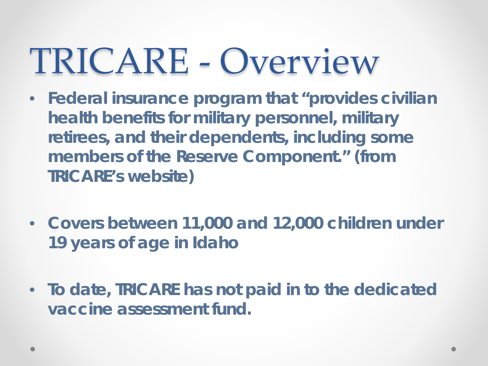## TRICARE - Overview

- **Federal insurance program that "provides civilian health benefits for military personnel, military retirees, and their dependents, including some members of the Reserve Component." (from TRICARE's website)**
- **Covers between 11,000 and 12,000 children under 19 years of age in Idaho**
- **To date, TRICARE has not paid in to the dedicated vaccine assessment fund.**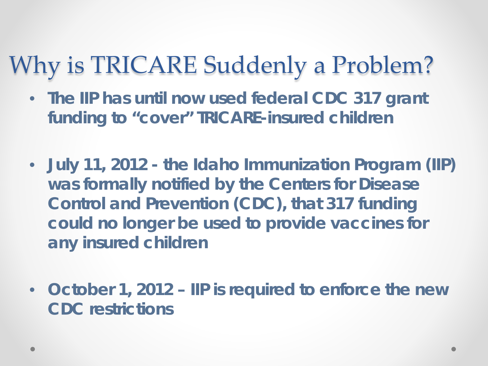#### Why is TRICARE Suddenly a Problem?

- **The IIP has until now used federal CDC 317 grant funding to "cover" TRICARE-insured children**
- **July 11, 2012 - the Idaho Immunization Program (IIP) was formally notified by the Centers for Disease Control and Prevention (CDC), that 317 funding could no longer be used to provide vaccines for any insured children**
- **October 1, 2012 – IIP is required to enforce the new CDC restrictions**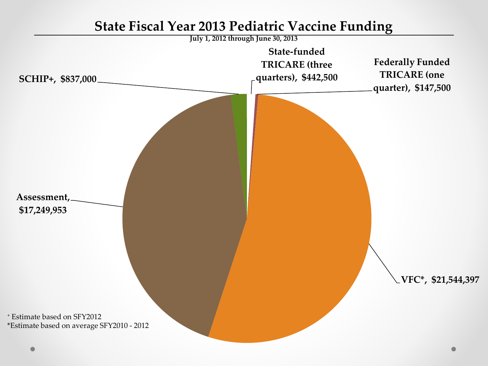

#### **State Fiscal Year 2013 Pediatric Vaccine Funding**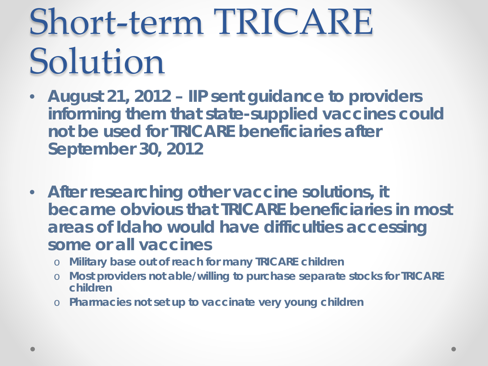## Short-term TRICARE Solution

- **August 21, 2012 – IIP sent guidance to providers informing them that state-supplied vaccines could not be used for TRICARE beneficiaries after September 30, 2012**
- **After researching other vaccine solutions, it became obvious that TRICARE beneficiaries in most areas of Idaho would have difficulties accessing some or all vaccines**
	- o **Military base out of reach for many TRICARE children**
	- o **Most providers not able/willing to purchase separate stocks for TRICARE children**
	- o **Pharmacies not set up to vaccinate very young children**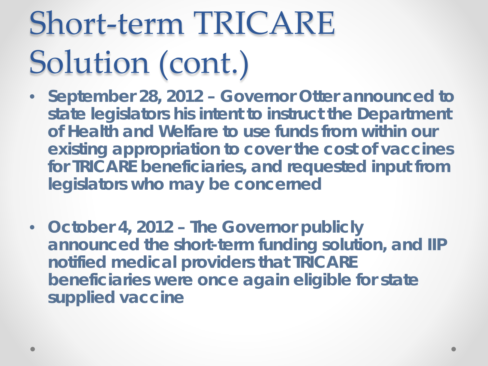## Short-term TRICARE Solution (cont.)

- **September 28, 2012 – Governor Otter announced to state legislators his intent to instruct the Department of Health and Welfare to use funds from within our existing appropriation to cover the cost of vaccines for TRICARE beneficiaries, and requested input from legislators who may be concerned**
- **October 4, 2012 – The Governor publicly announced the short-term funding solution, and IIP notified medical providers that TRICARE beneficiaries were once again eligible for state supplied vaccine**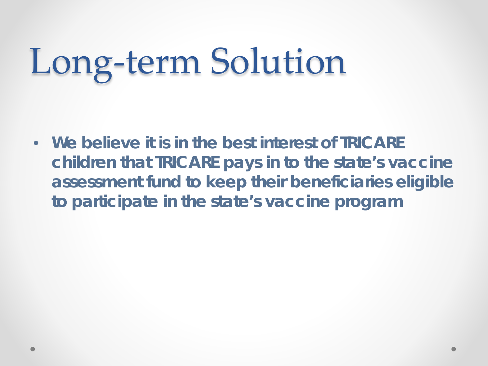# Long-term Solution

• **We believe it is in the best interest of TRICARE children that TRICARE pays in to the state's vaccine assessment fund to keep their beneficiaries eligible to participate in the state's vaccine program**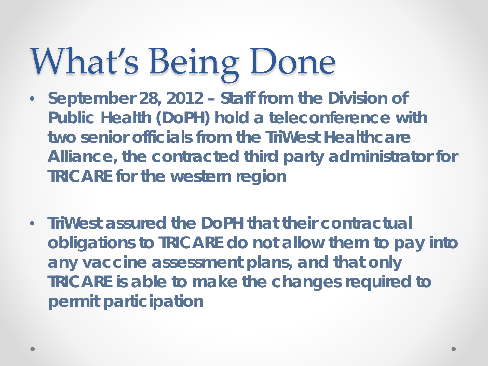# What's Being Done

- **September 28, 2012 – Staff from the Division of Public Health (DoPH) hold a teleconference with two senior officials from the TriWest Healthcare Alliance, the contracted third party administrator for TRICARE for the western region**
- **TriWest assured the DoPH that their contractual obligations to TRICARE do not allow them to pay into any vaccine assessment plans, and that only TRICARE is able to make the changes required to permit participation**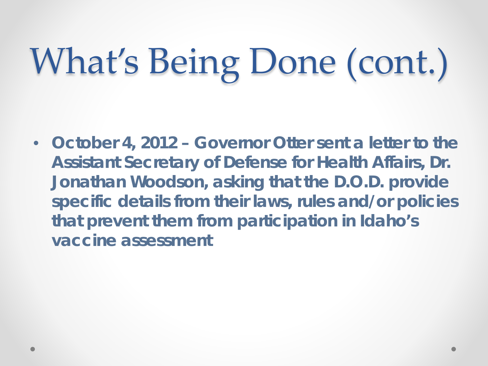# What's Being Done (cont.)

• **October 4, 2012 – Governor Otter sent a letter to the Assistant Secretary of Defense for Health Affairs, Dr. Jonathan Woodson, asking that the D.O.D. provide specific details from their laws, rules and/or policies that prevent them from participation in Idaho's vaccine assessment**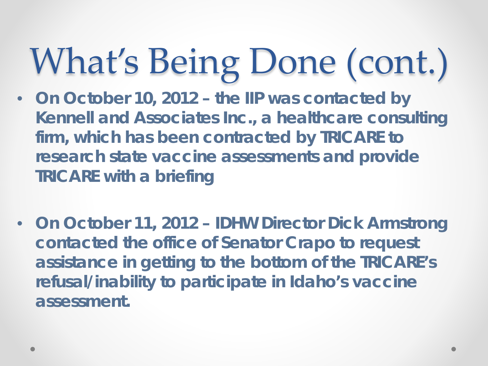# What's Being Done (cont.)

- **On October 10, 2012 – the IIP was contacted by Kennell and Associates Inc., a healthcare consulting firm, which has been contracted by TRICARE to research state vaccine assessments and provide TRICARE with a briefing**
- **On October 11, 2012 – IDHW Director Dick Armstrong contacted the office of Senator Crapo to request assistance in getting to the bottom of the TRICARE's refusal/inability to participate in Idaho's vaccine assessment.**